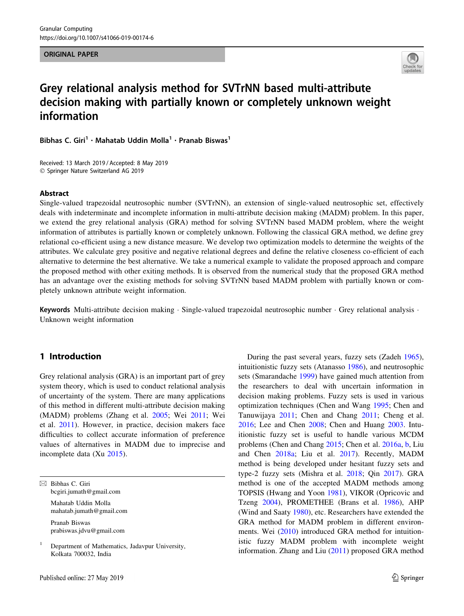ORIGINAL PAPER



# Grey relational analysis method for SVTrNN based multi-attribute decision making with partially known or completely unknown weight information

Bibhas C. Giri<sup>1</sup> · Mahatab Uddin Molla<sup>1</sup> · Pranab Biswas<sup>1</sup>

Received: 13 March 2019 / Accepted: 8 May 2019 - Springer Nature Switzerland AG 2019

#### Abstract

Single-valued trapezoidal neutrosophic number (SVTrNN), an extension of single-valued neutrosophic set, effectively deals with indeterminate and incomplete information in multi-attribute decision making (MADM) problem. In this paper, we extend the grey relational analysis (GRA) method for solving SVTrNN based MADM problem, where the weight information of attributes is partially known or completely unknown. Following the classical GRA method, we define grey relational co-efficient using a new distance measure. We develop two optimization models to determine the weights of the attributes. We calculate grey positive and negative relational degrees and define the relative closeness co-efficient of each alternative to determine the best alternative. We take a numerical example to validate the proposed approach and compare the proposed method with other exiting methods. It is observed from the numerical study that the proposed GRA method has an advantage over the existing methods for solving SVTrNN based MADM problem with partially known or completely unknown attribute weight information.

Keywords Multi-attribute decision making · Single-valued trapezoidal neutrosophic number · Grey relational analysis · Unknown weight information

# 1 Introduction

Grey relational analysis (GRA) is an important part of grey system theory, which is used to conduct relational analysis of uncertainty of the system. There are many applications of this method in different multi-attribute decision making (MADM) problems (Zhang et al. [2005;](#page-9-0) Wei [2011;](#page-9-0) Wei et al. [2011\)](#page-9-0). However, in practice, decision makers face difficulties to collect accurate information of preference values of alternatives in MADM due to imprecise and incomplete data (Xu [2015\)](#page-9-0).

 $\boxtimes$  Bibhas C. Giri bcgiri.jumath@gmail.com Mahatab Uddin Molla mahatab.jumath@gmail.com Pranab Biswas prabiswas.jdvu@gmail.com

<sup>1</sup> Department of Mathematics, Jadavpur University, Kolkata 700032, India

During the past several years, fuzzy sets (Zadeh [1965](#page-9-0)), intuitionistic fuzzy sets (Atanasso [1986](#page-7-0)), and neutrosophic sets (Smarandache [1999](#page-8-0)) have gained much attention from the researchers to deal with uncertain information in decision making problems. Fuzzy sets is used in various optimization techniques (Chen and Wang [1995](#page-8-0); Chen and Tanuwijaya [2011;](#page-8-0) Chen and Chang [2011](#page-8-0); Cheng et al. [2016](#page-8-0); Lee and Chen [2008](#page-8-0); Chen and Huang [2003](#page-8-0). Intuitionistic fuzzy set is useful to handle various MCDM problems (Chen and Chang [2015;](#page-8-0) Chen et al. [2016a](#page-8-0), [b](#page-8-0), Liu and Chen [2018a](#page-8-0); Liu et al. [2017](#page-8-0)). Recently, MADM method is being developed under hesitant fuzzy sets and type-2 fuzzy sets (Mishra et al. [2018](#page-8-0); Qin [2017\)](#page-8-0). GRA method is one of the accepted MADM methods among TOPSIS (Hwang and Yoon [1981](#page-8-0)), VIKOR (Opricovic and Tzeng [2004\)](#page-8-0), PROMETHEE (Brans et al. [1986\)](#page-8-0), AHP (Wind and Saaty [1980\)](#page-9-0), etc. Researchers have extended the GRA method for MADM problem in different environments. Wei ([2010\)](#page-9-0) introduced GRA method for intuitionistic fuzzy MADM problem with incomplete weight information. Zhang and Liu ([2011\)](#page-9-0) proposed GRA method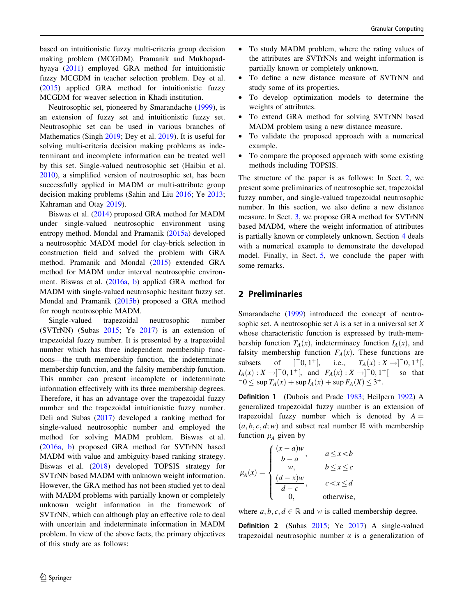based on intuitionistic fuzzy multi-criteria group decision making problem (MCGDM). Pramanik and Mukhopadhyaya [\(2011\)](#page-8-0) employed GRA method for intuitionistic fuzzy MCGDM in teacher selection problem. Dey et al. [\(2015](#page-8-0)) applied GRA method for intuitionistic fuzzy MCGDM for weaver selection in Khadi institution.

Neutrosophic set, pioneered by Smarandache [\(1999](#page-8-0)), is an extension of fuzzy set and intuitionistic fuzzy set. Neutrosophic set can be used in various branches of Mathematics (Singh [2019;](#page-8-0) Dey et al. [2019](#page-8-0)). It is useful for solving multi-criteria decision making problems as indeterminant and incomplete information can be treated well by this set. Single-valued neutrosophic set (Haibin et al. [2010\)](#page-8-0), a simplified version of neutrosophic set, has been successfully applied in MADM or multi-attribute group decision making problems (Sahin and Liu [2016](#page-8-0); Ye [2013](#page-9-0); Kahraman and Otay [2019\)](#page-8-0).

Biswas et al. [\(2014](#page-8-0)) proposed GRA method for MADM under single-valued neutrosophic environment using entropy method. Mondal and Pramanik [\(2015a\)](#page-8-0) developed a neutrosophic MADM model for clay-brick selection in construction field and solved the problem with GRA method. Pramanik and Mondal [\(2015](#page-8-0)) extended GRA method for MADM under interval neutrosophic environment. Biswas et al. [\(2016a,](#page-8-0) [b\)](#page-8-0) applied GRA method for MADM with single-valued neutrosophic hesitant fuzzy set. Mondal and Pramanik ([2015b\)](#page-8-0) proposed a GRA method for rough neutrosophic MADM.

Single-valued trapezoidal neutrosophic number (SVTrNN) (Subas [2015](#page-8-0); Ye [2017](#page-9-0)) is an extension of trapezoidal fuzzy number. It is presented by a trapezoidal number which has three independent membership functions—the truth membership function, the indeterminate membership function, and the falsity membership function. This number can present incomplete or indeterminate information effectively with its three membership degrees. Therefore, it has an advantage over the trapezoidal fuzzy number and the trapezoidal intuitionistic fuzzy number. Deli and Subas [\(2017](#page-8-0)) developed a ranking method for single-valued neutrosophic number and employed the method for solving MADM problem. Biswas et al. [\(2016a,](#page-8-0) [b](#page-8-0)) proposed GRA method for SVTrNN based MADM with value and ambiguity-based ranking strategy. Biswas et al. [\(2018](#page-8-0)) developed TOPSIS strategy for SVTrNN based MADM with unknown weight information. However, the GRA method has not been studied yet to deal with MADM problems with partially known or completely unknown weight information in the framework of SVTrNN, which can although play an effective role to deal with uncertain and indeterminate information in MADM problem. In view of the above facts, the primary objectives of this study are as follows:

study some of its properties. • To develop optimization models to determine the weights of attributes.

• To study MADM problem, where the rating values of

- To extend GRA method for solving SVTrNN based MADM problem using a new distance measure.
- To validate the proposed approach with a numerical example.
- To compare the proposed approach with some existing methods including TOPSIS.

The structure of the paper is as follows: In Sect. 2, we present some preliminaries of neutrosophic set, trapezoidal fuzzy number, and single-valued trapezoidal neutrosophic number. In this section, we also define a new distance measure. In Sect. [3,](#page-2-0) we propose GRA method for SVTrNN based MADM, where the weight information of attributes is partially known or completely unknown. Section [4](#page-5-0) deals with a numerical example to demonstrate the developed model. Finally, in Sect. [5,](#page-7-0) we conclude the paper with some remarks.

## 2 Preliminaries

Smarandache [\(1999](#page-8-0)) introduced the concept of neutrosophic set. A neutrosophic set A is a set in a universal set  $X$ whose characteristic function is expressed by truth-membership function  $T_A(x)$ , indeterminacy function  $I_A(x)$ , and falsity membership function  $F_A(x)$ . These functions are subsets of  $]$ <sup>-0</sup>, 1<sup>+</sup>[, i.e.,  $T_A(x) : X \rightarrow ]-0, 1^+[,$  $I_A(x): X \to ]-0, 1^+[$ , and  $F_A(x): X \to ]-0, 1^+[$  so that  $-0 \leq \sup T_A(x) + \sup I_A(x) + \sup F_A(X) \leq 3^+$ .

Definition 1 (Dubois and Prade [1983;](#page-8-0) Heilpern [1992](#page-8-0)) A generalized trapezoidal fuzzy number is an extension of trapezoidal fuzzy number which is denoted by  $A =$  $(a, b, c, d; w)$  and subset real number R with membership function  $\mu_A$  given by

$$
\mu_A(x) = \begin{cases}\n\frac{(x-a)w}{b-a}, & a \le x < b \\
w, & b \le x \le c \\
\frac{(d-x)w}{d-c}, & c < x \le d \\
0, & \text{otherwise,} \n\end{cases}
$$

where  $a, b, c, d \in \mathbb{R}$  and w is called membership degree.

Definition 2 (Subas [2015](#page-8-0); Ye [2017](#page-9-0)) A single-valued trapezoidal neutrosophic number  $\alpha$  is a generalization of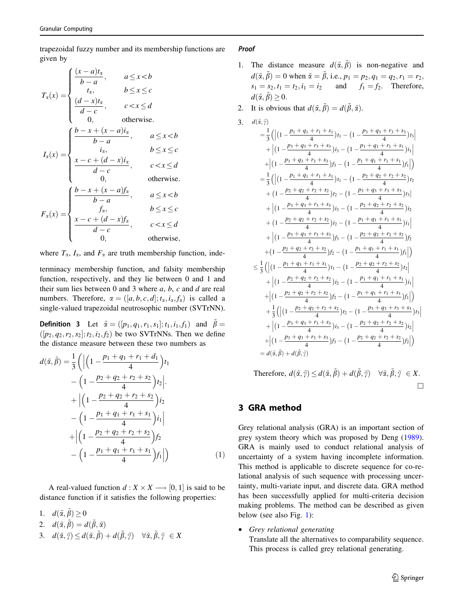<span id="page-2-0"></span>trapezoidal fuzzy number and its membership functions are given by

$$
T_{\alpha}(x) = \begin{cases} \frac{(x-a)t_{\alpha}}{b-a}, & a \leq x < b \\ t_{\alpha}, & b \leq x \leq c \\ \frac{(d-x)t_{\alpha}}{d-c}, & c < x \leq d \\ 0, & \text{otherwise.} \end{cases}
$$
  

$$
I_{\alpha}(x) = \begin{cases} \frac{b-x+(x-a)i_{\alpha}}{b-a}, & a \leq x < b \\ \frac{x-c+(d-x)i_{\alpha}}{d-c}, & c < x \leq d \\ 0, & \text{otherwise.} \end{cases}
$$
  

$$
F_{\alpha}(x) = \begin{cases} \frac{b-x+(x-a)f_{\alpha}}{b-a}, & a \leq x < b \\ \frac{x-c+(d-x)f_{\alpha}}{f_{\alpha}}, & b \leq x \leq c \\ \frac{x-c+(d-x)f_{\alpha}}{d-c}, & c < x \leq d \\ 0, & \text{otherwise.} \end{cases}
$$

where  $T_{\alpha}$ ,  $I_{\alpha}$ , and  $F_{\alpha}$  are truth membership function, inde-

terminacy membership function, and falsity membership function, respectively, and they lie between 0 and 1 and their sum lies between 0 and 3 where  $a, b, c$  and  $d$  are real numbers. Therefore,  $\alpha = ([a, b, c, d]; t_{\alpha}, t_{\alpha}, f_{\alpha})$  is called a single-valued trapezoidal neutrosophic number (SVTrNN).

**Definition 3** Let  $\tilde{\alpha} = ([p_1, q_1, r_1, s_1]; t_1, t_1, f_1)$  and  $\tilde{\beta} =$  $(p_2, q_2, r_2, s_2; t_2, t_2, t_2)$  be two SVTrNNs. Then we define the distance measure between these two numbers as

$$
d(\tilde{\alpha}, \tilde{\beta}) = \frac{1}{3} \left( \left| \left( 1 - \frac{p_1 + q_1 + r_1 + d_1}{4} \right) t_1 \right| + \left| \left( 1 - \frac{p_2 + q_2 + r_2 + s_2}{4} \right) t_2 \right| + \left| \left( 1 - \frac{p_2 + q_2 + r_2 + s_2}{4} \right) t_2 \right| - \left( 1 - \frac{p_1 + q_1 + r_1 + s_1}{4} \right) t_1 \right| + \left| \left( 1 - \frac{p_2 + q_2 + r_2 + s_2}{4} \right) f_2 \right| - \left( 1 - \frac{p_1 + q_1 + r_1 + s_1}{4} \right) f_1 \right| \tag{1}
$$

A real-valued function  $d : X \times X \longrightarrow [0, 1]$  is said to be distance function if it satisfies the following properties:

- 1.  $d(\tilde{\alpha}, \tilde{\beta}) \geq 0$
- 2.  $d(\tilde{\alpha}, \tilde{\beta}) = d(\tilde{\beta}, \tilde{\alpha})$
- 3.  $d(\tilde{\alpha}, \tilde{\gamma}) \leq d(\tilde{\alpha}, \tilde{\beta}) + d(\tilde{\beta}, \tilde{\gamma}) \quad \forall \tilde{\alpha}, \tilde{\beta}, \tilde{\gamma} \in X$

#### Proof

 $\overline{\mathbf{3}}$ 

- 1. The distance measure  $d(\tilde{\alpha}, \tilde{\beta})$  is non-negative and  $d(\tilde{\alpha}, \tilde{\beta}) = 0$  when  $\tilde{\alpha} = \tilde{\beta}$ , i.e.,  $p_1 = p_2, q_1 = q_2, r_1 = r_2$ ,  $s_1 = s_2, t_1 = t_2, i_1 = i_2$  and  $f_1 = f_2$ . Therefore,  $d(\tilde{\alpha}, \tilde{\beta}) \geq 0.$
- 2. It is obvious that  $d(\tilde{\alpha}, \tilde{\beta}) = d(\tilde{\beta}, \tilde{\alpha})$ .

$$
d(\tilde{a}, \tilde{y})
$$
\n
$$
= \frac{1}{3} \left( \left| \left( 1 - \frac{p_1 + q_1 + r_1 + s_1}{4} \right) t_1 - \left( 1 - \frac{p_3 + q_3 + r_3 + s_3}{4} \right) t_3 \right| \right.
$$
\n
$$
+ \left| \left( 1 - \frac{p_3 + q_3 + r_3 + s_3}{4} \right) t_3 - \left( 1 - \frac{p_1 + q_1 + r_1 + s_1}{4} \right) t_1 \right| \right|
$$
\n
$$
+ \left| \left( 1 - \frac{p_3 + q_3 + r_3 + s_3}{4} \right) t_3 - \left( 1 - \frac{p_1 + q_1 + r_1 + s_1}{4} \right) t_1 \right| \right)
$$
\n
$$
= \frac{1}{3} \left( \left| \left( 1 - \frac{p_1 + q_1 + r_1 + s_1}{4} \right) t_1 - \left( 1 - \frac{p_2 + q_2 + r_2 + s_2}{4} \right) t_2 \right|
$$
\n
$$
+ \left( 1 - \frac{p_2 + q_2 + r_2 + s_2}{4} \right) t_2 - \left( 1 - \frac{p_3 + q_3 + r_3 + s_3}{4} \right) t_3 \right|
$$
\n
$$
+ \left| \left( 1 - \frac{p_2 + q_2 + r_2 + s_2}{4} \right) t_2 - \left( 1 - \frac{p_1 + q_1 + r_1 + s_1}{4} \right) t_1 \right|
$$
\n
$$
+ \left| \left( 1 - \frac{p_2 + q_2 + r_2 + s_2}{4} \right) t_2 - \left( 1 - \frac{p_1 + q_1 + r_1 + s_1}{4} \right) t_1 \right| \right|
$$
\n
$$
+ \left| \left( 1 - \frac{p_2 + q_2 + r_2 + s_2}{4} \right) t_2 - \left( 1 - \frac{p_1 + q_1 + r_1 + s_1}{4} \right) t_1 \right| \right|
$$
\n
$$
\leq \frac{1}{3} \left( \left| \left( 1 - \frac{p_1 + q_1 + r_
$$

Therefore,  $d(\tilde{\alpha}, \tilde{\gamma}) \leq d(\tilde{\alpha}, \tilde{\beta}) + d(\tilde{\beta}, \tilde{\gamma}) \quad \forall \tilde{\alpha}, \tilde{\beta}, \tilde{\gamma} \in X.$  $\Box$ 

# 3 GRA method

Grey relational analysis (GRA) is an important section of grey system theory which was proposed by Deng [\(1989](#page-8-0)). GRA is mainly used to conduct relational analysis of uncertainty of a system having incomplete information. This method is applicable to discrete sequence for co-relational analysis of such sequence with processing uncertainty, multi-variate input, and discrete data. GRA method has been successfully applied for multi-criteria decision making problems. The method can be described as given below (see also Fig.  $1$ ):

• Grey relational generating

Translate all the alternatives to comparability sequence. This process is called grey relational generating.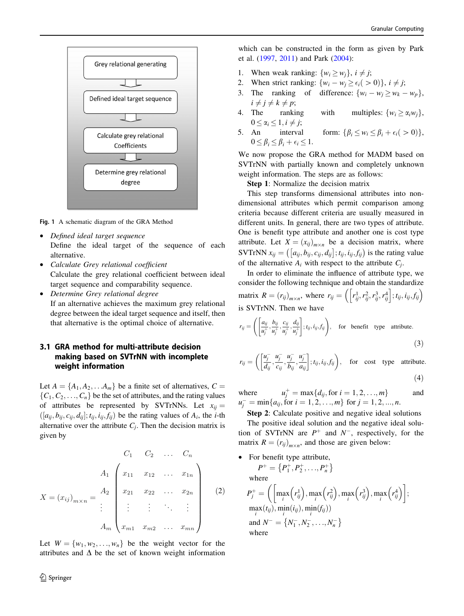<span id="page-3-0"></span>

Fig. 1 A schematic diagram of the GRA Method

- Defined ideal target sequence Define the ideal target of the sequence of each alternative.
- Calculate Grey relational coefficient Calculate the grey relational coefficient between ideal target sequence and comparability sequence.
- Determine Grey relational degree If an alternative achieves the maximum grey relational degree between the ideal target sequence and itself, then that alternative is the optimal choice of alternative.

# 3.1 GRA method for multi-attribute decision making based on SVTrNN with incomplete weight information

Let  $A = \{A_1, A_2, \ldots, A_m\}$  be a finite set of alternatives,  $C =$  $\{C_1, C_2, \ldots, C_n\}$  be the set of attributes, and the rating values of attributes be represented by SVTrNNs. Let  $x_{ii} =$  $([a_{ij}, b_{ij}, c_{ij}, d_{ij}]; t_{ij}, t_{ij}, f_{ij})$  be the rating values of  $A_i$ , the *i*-th alternative over the attribute  $C_i$ . Then the decision matrix is given by

$$
X = (x_{ij})_{m \times n} = \begin{pmatrix} C_1 & C_2 & \dots & C_n \\ A_1 & x_{11} & x_{12} & \dots & x_{1n} \\ x_{21} & x_{22} & \dots & x_{2n} \\ \vdots & \vdots & \vdots & \ddots & \vdots \\ A_m & x_{m1} & x_{m2} & \dots & x_{mn} \end{pmatrix}
$$
 (2)

Let  $W = \{w_1, w_2, \ldots, w_n\}$  be the weight vector for the attributes and  $\Delta$  be the set of known weight information

which can be constructed in the form as given by Park et al. [\(1997](#page-8-0), [2011\)](#page-8-0) and Park [\(2004](#page-8-0)):

- 1. When weak ranking:  $\{w_i \geq w_i\}, i \neq j;$
- 2. When strict ranking:  $\{w_i w_j \ge \epsilon_i(>0)\}, i \ne j;$
- 3. The ranking of difference:  $\{w_i w_j \ge w_k w_p\}$ ,  $i \neq j \neq k \neq p;$
- 4. The ranking with multiples:  $\{w_i \ge \alpha_i w_i\}$ ,  $0 \leq \alpha_i \leq 1, i \neq j;$
- 5. An interval form:  $\{\beta_i \leq w_i \leq \beta_i + \epsilon_i(>0)\},\$  $0 \leq \beta_i \leq \beta_i + \epsilon_i \leq 1.$

We now propose the GRA method for MADM based on SVTrNN with partially known and completely unknown weight information. The steps are as follows:

Step 1: Normalize the decision matrix

This step transforms dimensional attributes into nondimensional attributes which permit comparison among criteria because different criteria are usually measured in different units. In general, there are two types of attribute. One is benefit type attribute and another one is cost type attribute. Let  $X = (x_{ij})_{m \times n}$  be a decision matrix, where SVTrNN  $x_{ij} = \left( \left[ a_{ij}, b_{ij}, c_{ij}, d_{ij} \right]; t_{ij}, t_{ij}, f_{ij} \right)$  is the rating value of the alternative  $A_i$  with respect to the attribute  $C_i$ .

In order to eliminate the influence of attribute type, we consider the following technique and obtain the standardize matrix  $R = (r_{ij})_{m \times n}$ , where  $r_{ij} = (r_{ij}^1, r_{ij}^2, r_{ij}^3, r_{ij}^4); t_{ij}, t_{ij}, t_{ij}$ is SVTrNN. Then we have

$$
r_{ij} = \left( \left[ \frac{a_{ij}}{u_j^+}, \frac{b_{ij}}{u_j^+}, \frac{c_{ij}}{u_j^+}, \frac{d_{ij}}{u_j^+} \right]; t_{ij}, i_{ij}, f_{ij} \right), \text{ for benefit type attribute.}
$$
\n(3)

$$
r_{ij} = \left( \left[ \frac{u_j^-}{d_{ij}}, \frac{u_j^-}{c_{ij}}, \frac{u_j^-}{b_{ij}}, \frac{u_j^-}{a_{ij}} \right]; t_{ij}, i_{ij}, f_{ij} \right), \text{ for cost type attribute.}
$$
\n(4)

where  $u_i^+ = \max\{d_{ij}, \text{for } i = 1, 2, ..., m\}$  and  $u_j^- = \min\{a_{ij}, \text{for } i = 1, 2, ..., m\}$  for  $j = 1, 2, ..., n$ .

Step 2: Calculate positive and negative ideal solutions

The positive ideal solution and the negative ideal solution of SVTrNN are  $P^+$  and  $N^-$ , respectively, for the matrix  $R = (r_{ij})_{m \times n}$ , and those are given below:

\n- For benefit type attribute,
\n- $$
P^+ = \{P_1^+, P_2^+, \ldots, P_n^+\}
$$
\n- where
\n- $P_j^+ = \left(\left[\max_i \left(r_{ij}^1\right), \max_i \left(r_{ij}^2\right), \max_i \left(r_{ij}^3\right), \max_i \left(r_{ij}^4\right)\right];$
\n- $\max_i(t_{ij}), \min_i(i_{ij}), \min_i(f_{ij}))$
\n- and  $N^- = \{N_1^-, N_2^-, \ldots, N_n^-\}$
\n- where
\n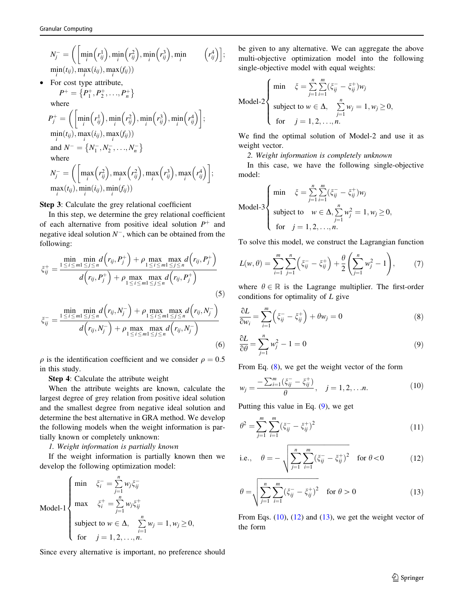<span id="page-4-0"></span>
$$
N_j^- = \left( \left[ \min_i \left( r_{ij}^1 \right), \min_i \left( r_{ij}^2 \right), \min_i \left( r_{ij}^3 \right), \min_i \left( r_{ij}^4 \right) \right];
$$
  

$$
\min_i (t_{ij}), \max_i (t_{ij}), \max_i (f_{ij}))
$$

\n- For cost type attribute, 
$$
P^+ = \{P_1^+, P_2^+, \ldots, P_n^+\}
$$
 where\n  $P_j^+ = \left(\left[\min_i \left(r_{ij}^1\right), \min_i \left(r_{ij}^2\right), \min_i \left(r_{ij}^3\right), \min_i \left(r_{ij}^4\right)\right];$ \n $\min_i(t_{ij}), \max_i(t_{ij}), \max_i(t_{ij})$ \n and  $N^- = \{N_1^-, N_2^-, \ldots, N_n^-\}$ \n where\n  $N_j^- = \left(\left[\max_i \left(r_{ij}^2\right), \max_i \left(r_{ij}^2\right), \max_i \left(r_{ij}^3\right), \max_i \left(r_{ij}^4\right)\right];$ \n $\max_i(t_{ij}), \min_i(t_{ij}), \min_i(t_{ij})$ \n
\n

Step 3: Calculate the grey relational coefficient

In this step, we determine the grey relational coefficient of each alternative from positive ideal solution  $P^+$  and negative ideal solution  $N^-$ , which can be obtained from the following:

$$
\xi_{ij}^{+} = \frac{\min_{1 \le i \le m1 \le j \le n} d(r_{ij}, P_j^+) + \rho \max_{1 \le i \le m1 \le j \le n} d(r_{ij}, P_j^+)}{d(r_{ij}, P_j^+) + \rho \max_{1 \le i \le m1 \le j \le n} d(r_{ij}, P_j^+)}
$$
\n
$$
(5)
$$

$$
\xi_{ij}^{-} = \frac{\min_{1 \le i \le m1} \min_{1 \le j \le n} d(r_{ij}, N_j^{-}) + \rho \max_{1 \le i \le m1} \max_{1 \le j \le n} d(r_{ij}, N_j^{-})}{d(r_{ij}, N_j^{-}) + \rho \max_{1 \le i \le m1} \max_{1 \le j \le n} d(r_{ij}, N_j^{-})}
$$
\n(6)

 $\rho$  is the identification coefficient and we consider  $\rho = 0.5$ in this study.

Step 4: Calculate the attribute weight

When the attribute weights are known, calculate the largest degree of grey relation from positive ideal solution and the smallest degree from negative ideal solution and determine the best alternative in GRA method. We develop the following models when the weight information is partially known or completely unknown:

1. Weight information is partially known

If the weight information is partially known then we develop the following optimization model:

$$
\text{Model-1}\left\{\begin{array}{ll}\min & \xi_i^- = \sum_{j=1}^n w_j \xi_{ij}^-\\ \max & \xi_i^+ = \sum_{j=1}^n w_j \xi_{ij}^+\\ \text{subject to } w \in \Delta, & \sum_{i=1}^n w_j = 1, w_j \ge 0,\\ \text{for } & j = 1, 2, \dots, n.\end{array}\right.
$$

Since every alternative is important, no preference should

be given to any alternative. We can aggregate the above multi-objective optimization model into the following single-objective model with equal weights:

$$
\text{Model-2}\left\{\begin{array}{ll}\min & \xi = \sum_{j=1}^{n} \sum_{i=1}^{m} (\xi_{ij} - \xi_{ij}^{+}) w_j\\ \text{subject to } w \in \Delta, \quad \sum_{j=1}^{n} w_j = 1, w_j \ge 0,\\ \text{for } \quad j = 1, 2, \dots, n.\end{array}\right.
$$

We find the optimal solution of Model-2 and use it as weight vector.

2. Weight information is completely unknown

In this case, we have the following single-objective model:

$$
\text{Model-3}\left\{\begin{array}{ll}\min & \xi = \sum_{j=1}^{n} \sum_{i=1}^{m} (\xi_{ij}^{-} - \xi_{ij}^{+}) w_{j} \\ \text{subject to} & w \in \Delta, \sum_{j=1}^{n} w_{j}^{2} = 1, w_{j} \geq 0, \\ \text{for} & j = 1, 2, ..., n.\end{array}\right.
$$

To solve this model, we construct the Lagrangian function

$$
L(w, \theta) = \sum_{i=1}^{m} \sum_{j=1}^{n} \left( \xi_{ij}^{-} - \xi_{ij}^{+} \right) + \frac{\theta}{2} \left( \sum_{j=1}^{n} w_{j}^{2} - 1 \right), \quad (7)
$$

where  $\theta \in \mathbb{R}$  is the Lagrange multiplier. The first-order conditions for optimality of  $L$  give

$$
\frac{\partial L}{\partial w_i} = \sum_{i=1}^m \left( \xi_{ij}^- - \xi_{ij}^+ \right) + \theta w_j = 0 \tag{8}
$$

$$
\frac{\partial L}{\partial \theta} = \sum_{j=1}^{n} w_j^2 - 1 = 0
$$
\n(9)

From Eq. (8), we get the weight vector of the form

$$
w_j = \frac{-\sum_{i=1}^{m} (\xi_{ij}^{\bar{z}} - \xi_{ij}^+)}{\theta}, \quad j = 1, 2, \dots n.
$$
 (10)

Putting this value in Eq.  $(9)$ , we get

$$
\theta^2 = \sum_{j=1}^m \sum_{i=1}^m (\xi_{ij}^- - \xi_{ij}^+)^2 \tag{11}
$$

i.e., 
$$
\theta = -\sqrt{\sum_{j=1}^{n} \sum_{i=1}^{m} (\xi_{ij} - \xi_{ij}^{+})^2}
$$
 for  $\theta < 0$  (12)

$$
\theta = \sqrt{\sum_{j=1}^{n} \sum_{i=1}^{m} (\xi_{ij}^{-} - \xi_{ij}^{+})^{2}} \quad \text{for } \theta > 0
$$
\n(13)

From Eqs.  $(10)$ ,  $(12)$  and  $(13)$ , we get the weight vector of the form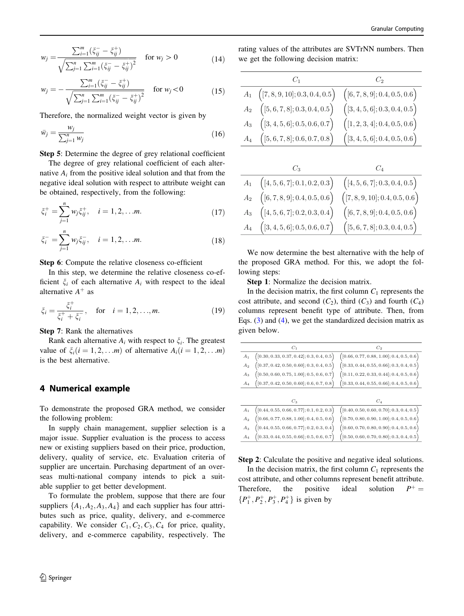<span id="page-5-0"></span>
$$
w_j = \frac{\sum_{i=1}^{m} (\xi_{ij}^- - \xi_{ij}^+)}{\sqrt{\sum_{j=1}^{n} \sum_{i=1}^{m} (\xi_{ij}^- - \xi_{ij}^+)^2}} \quad \text{for } w_j > 0
$$
 (14)

$$
w_j = -\frac{\sum_{i=1}^{m} (\xi_{ij}^- - \xi_{ij}^+)}{\sqrt{\sum_{j=1}^{n} \sum_{i=1}^{m} (\xi_{ij}^- - \xi_{ij}^+)^2}} \quad \text{for } w_j < 0 \tag{15}
$$

Therefore, the normalized weight vector is given by

$$
\bar{w}_j = \frac{w_j}{\sum_{j=1}^n w_j} \tag{16}
$$

Step 5: Determine the degree of grey relational coefficient

The degree of grey relational coefficient of each alternative  $A_i$  from the positive ideal solution and that from the negative ideal solution with respect to attribute weight can be obtained, respectively, from the following:

$$
\xi_i^+ = \sum_{j=1}^n w_j \xi_{ij}^+, \quad i = 1, 2, \dots m. \tag{17}
$$

$$
\xi_i^- = \sum_{j=1}^n w_j \xi_{ij}^-, \quad i = 1, 2, \dots m. \tag{18}
$$

Step 6: Compute the relative closeness co-efficient

In this step, we determine the relative closeness co-efficient  $\xi_i$  of each alternative  $A_i$  with respect to the ideal alternative  $A^+$  as

$$
\xi_i = \frac{\xi_i^+}{\xi_i^+ + \xi_i^-}, \quad \text{for} \quad i = 1, 2, ..., m. \tag{19}
$$

Step 7: Rank the alternatives

Rank each alternative  $A_i$  with respect to  $\xi_i$ . The greatest value of  $\xi_i$   $(i = 1, 2, \ldots m)$  of alternative  $A_i$   $(i = 1, 2, \ldots m)$ is the best alternative.

## 4 Numerical example

To demonstrate the proposed GRA method, we consider the following problem:

In supply chain management, supplier selection is a major issue. Supplier evaluation is the process to access new or existing suppliers based on their price, production, delivery, quality of service, etc. Evaluation criteria of supplier are uncertain. Purchasing department of an overseas multi-national company intends to pick a suitable supplier to get better development.

To formulate the problem, suppose that there are four suppliers  $\{A_1, A_2, A_3, A_4\}$  and each supplier has four attributes such as price, quality, delivery, and e-commerce capability. We consider  $C_1, C_2, C_3, C_4$  for price, quality, delivery, and e-commerce capability, respectively. The

rating values of the attributes are SVTrNN numbers. Then we get the following decision matrix:

| $A_1$ $(7, 8, 9, 10]; 0.3, 0.4, 0.5)$ $(6, 7, 8, 9]; 0.4, 0.5, 0.6)$ |                                  |
|----------------------------------------------------------------------|----------------------------------|
| $A_2 \quad \left([5,6,7,8];0.3,0.4,0.5\right)$                       | ( [3, 4, 5, 6]; 0.3, 0.4, 0.5)   |
| $A_3 \quad ([3, 4, 5, 6]; 0.5, 0.6, 0.7)$                            | $($ [1, 2, 3, 4]; 0.4, 0.5, 0.6) |
| $A_4 \quad \left([5,6,7,8];0.6,0.7,0.8\right)$                       | ( [3, 4, 5, 6]; 0.4, 0.5, 0.6)   |

| $A_1 \quad ([4, 5, 6, 7]; 0.1, 0.2, 0.3) \quad ([4, 5, 6, 7]; 0.3, 0.4, 0.5)$ |                                |
|-------------------------------------------------------------------------------|--------------------------------|
| $A_2$ $([6, 7, 8, 9]; 0.4, 0.5, 0.6)$                                         | ([7, 8, 9, 10]; 0.4, 0.5, 0.6) |
| $A_3 \quad ([4, 5, 6, 7]; 0.2, 0.3, 0.4)$                                     | (6, 7, 8, 9]; 0.4, 0.5, 0.6)   |
| $A_4 \quad ([3, 4, 5, 6]; 0.5, 0.6, 0.7)$                                     | ([5, 6, 7, 8]; 0.3, 0.4, 0.5)  |

We now determine the best alternative with the help of the proposed GRA method. For this, we adopt the following steps:

Step 1: Normalize the decision matrix.

In the decision matrix, the first column  $C_1$  represents the cost attribute, and second  $(C_2)$ , third  $(C_3)$  and fourth  $(C_4)$ columns represent benefit type of attribute. Then, from Eqs. [\(3](#page-3-0)) and ([4\)](#page-3-0), we get the standardized decision matrix as given below.

|                | C1                                           |                                               |
|----------------|----------------------------------------------|-----------------------------------------------|
| $A_1$          | $( [0.30, 0.33, 0.37, 0.42]; 0.3, 0.4, 0.5)$ | $( [0.66, 0.77, 0.88, 1.00]; 0.4, 0.5, 0.6)$  |
| A <sub>2</sub> | $( [0.37, 0.42, 0.50, 0.60]; 0.3, 0.4, 0.5]$ | $( [0.33, 0.44, 0.55, 0.66]; 0.3, 0.4, 0.5)$  |
| $A_3$          | $(0.50, 0.60, 0.75, 1.00]; 0.5, 0.6, 0.7$    | $( [0.11, 0.22, 0.33, 0.44]; 0.4, 0.5, 0.6]$  |
| $A_4$          | $( [0.37, 0.42, 0.50, 0.60]; 0.6, 0.7, 0.8]$ | $($ [0.33, 0.44, 0.55, 0.66]; 0.4, 0.5, 0.6 ] |
|                |                                              |                                               |
|                | $C_3$                                        | $C_4$                                         |
| A <sub>1</sub> | $( [0.44, 0.55, 0.66, 0.77]; 0.1, 0.2, 0.3]$ | $( [0.40, 0.50, 0.60, 0.70]; 0.3, 0.4, 0.5)$  |
| A <sub>2</sub> | $[0.66, 0.77, 0.88, 1.00]; 0.4, 0.5, 0.6]$   | $([0.70, 0.80, 0.90, 1.00]; 0.4, 0.5, 0.6)$   |
| $A_3$          | $( [0.44, 0.55, 0.66, 0.77]; 0.2, 0.3, 0.4]$ | $( [0.60, 0.70, 0.80, 0.90]; 0.4, 0.5, 0.6]$  |
| $A_4$          | $[0.33, 0.44, 0.55, 0.66]; 0.5, 0.6, 0.7]$   | $([0.50, 0.60, 0.70, 0.80]; 0.3, 0.4, 0.5)$   |

Step 2: Calculate the positive and negative ideal solutions.

In the decision matrix, the first column  $C_1$  represents the cost attribute, and other columns represent benefit attribute. Therefore, the positive ideal solution  $P^+ =$  $\{P_1^+, P_2^+, P_3^+, P_4^+\}$  is given by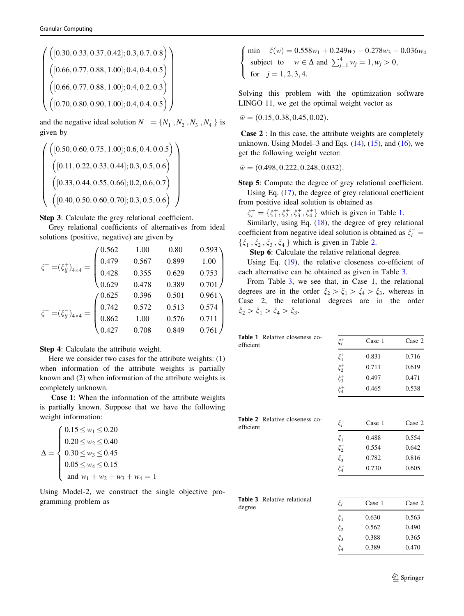$$
\left(\frac{\left([0.30, 0.33, 0.37, 0.42]; 0.3, 0.7, 0.8\right)}{\left([0.66, 0.77, 0.88, 1.00]; 0.4, 0.4, 0.5\right)}\right)\left(\frac{[0.66, 0.77, 0.88, 1.00]; 0.4, 0.2, 0.3)}{\left([0.70, 0.80, 0.90, 1.00]; 0.4, 0.4, 0.5\right)}\right)
$$

and the negative ideal solution  $N^- = \{N_1^-, N_2^-, N_3^-, N_4^-\}$  is given by

$$
\left( \begin{array}{c} \Big( [0.50, 0.60, 0.75, 1.00]; 0.6, 0.4, 0.0.5 \Big) \\ \Big( [0.11, 0.22, 0.33, 0.44]; 0.3, 0.5, 0.6 \Big) \\ \Big( [0.33, 0.44, 0.55, 0.66]; 0.2, 0.6, 0.7 \Big) \\ \Big( [0.40, 0.50, 0.60, 0.70]; 0.3, 0.5, 0.6 \Big) \end{array} \right)
$$

Step 3: Calculate the grey relational coefficient.

Grey relational coefficients of alternatives from ideal solutions (positive, negative) are given by

$$
\xi^{+} = (\xi_{ij}^{+})_{4\times4} = \begin{pmatrix}\n0.562 & 1.00 & 0.80 & 0.593 \\
0.479 & 0.567 & 0.899 & 1.00 \\
0.428 & 0.355 & 0.629 & 0.753 \\
0.629 & 0.478 & 0.389 & 0.701\n\end{pmatrix}
$$
\n
$$
\xi^{-} = (\xi_{ij}^{-})_{4\times4} = \begin{pmatrix}\n0.625 & 0.396 & 0.501 & 0.961 \\
0.742 & 0.572 & 0.513 & 0.574 \\
0.862 & 1.00 & 0.576 & 0.711 \\
0.427 & 0.708 & 0.849 & 0.761\n\end{pmatrix}
$$

Step 4: Calculate the attribute weight.

Here we consider two cases for the attribute weights: (1) when information of the attribute weights is partially known and (2) when information of the attribute weights is completely unknown.

Case 1: When the information of the attribute weights is partially known. Suppose that we have the following weight information:

$$
\Delta = \begin{cases}\n0.15 \le w_1 \le 0.20 \\
0.20 \le w_2 \le 0.40 \\
0.30 \le w_3 \le 0.45 \\
0.05 \le w_4 \le 0.15 \\
\text{and } w_1 + w_2 + w_3 + w_4 = 1\n\end{cases}
$$

Using Model-2, we construct the single objective programming problem as

min  $\xi(w) = 0.558w_1 + 0.249w_2 - 0.278w_3 - 0.036w_4$ subject to  $w \in \Delta$  and  $\sum_{j=1}^{4} w_j = 1, w_j > 0$ , for  $j = 1, 2, 3, 4$ .  $\overline{6}$  $\overline{\phantom{a}}$  $\perp$ 

Solving this problem with the optimization software LINGO 11, we get the optimal weight vector as

 $\bar{w} = (0.15, 0.38, 0.45, 0.02).$ 

Case 2 : In this case, the attribute weights are completely unknown. Using Model–3 and Eqs.  $(14)$  $(14)$ ,  $(15)$  $(15)$ , and  $(16)$  $(16)$ , we get the following weight vector:

 $\bar{w} = (0.498, 0.222, 0.248, 0.032).$ 

Step 5: Compute the degree of grey relational coefficient. Using Eq. [\(17](#page-5-0)), the degree of grey relational coefficient

from positive ideal solution is obtained as

 $\xi_i^+ = \{\xi_1^+, \xi_2^+, \xi_3^+, \xi_4^+\}$  which is given in Table 1.

Similarly, using Eq. ([18\)](#page-5-0), the degree of grey relational coefficient from negative ideal solution is obtained as  $\xi_i$  =  $\{\xi_1^-, \xi_2^-, \xi_3^-, \xi_4^-\}$  which is given in Table 2.

Step 6: Calculate the relative relational degree.

Using Eq.  $(19)$  $(19)$ , the relative closeness co-efficient of each alternative can be obtained as given in Table 3.

From Table 3, we see that, in Case 1, the relational degrees are in the order  $\xi_2 > \xi_1 > \xi_4 > \xi_3$ , whereas in Case 2, the relational degrees are in the order  $\xi_2 > \xi_1 > \xi_4 > \xi_3.$ 

| $\xi_i^+$ | Case 1 | Case 2 |
|-----------|--------|--------|
| $\xi_1^+$ | 0.831  | 0.716  |
| $\xi_2^+$ | 0.711  | 0.619  |
| $\xi_3^+$ | 0.497  | 0.471  |
| $\xi_4^+$ | 0.465  | 0.538  |
|           |        |        |

|           | <b>Table 2</b> Relative closeness co- |  |
|-----------|---------------------------------------|--|
| efficient |                                       |  |
|           |                                       |  |

| $\xi_i^-$ | Case 1 | Case 2 |
|-----------|--------|--------|
| $\xi_1^-$ | 0.488  | 0.554  |
| $\xi_2^-$ | 0.554  | 0.642  |
| $\xi_3^-$ | 0.782  | 0.816  |
| $\xi_4^-$ | 0.730  | 0.605  |

Table 3 Relative relational

| degree | <b>Table 3</b> Relative relational | ζ,      | Case 1 | Case 2 |
|--------|------------------------------------|---------|--------|--------|
|        |                                    | ζ1      | 0.630  | 0.563  |
|        | $\xi_2$                            | 0.562   | 0.490  |        |
|        |                                    | Č٩      | 0.388  | 0.365  |
|        |                                    | $\xi_4$ | 0.389  | 0.470  |
|        |                                    |         |        |        |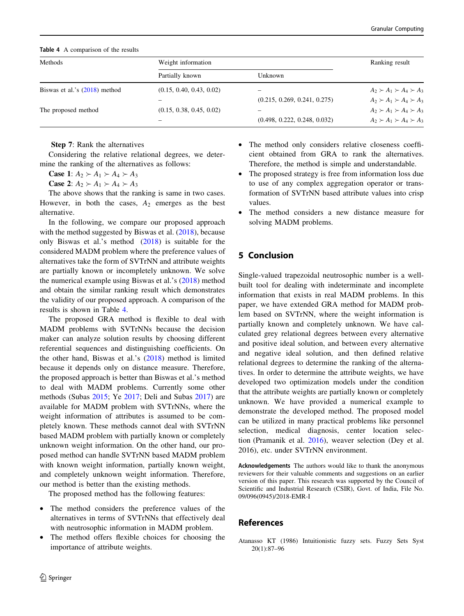<span id="page-7-0"></span>Table 4 A comparison of the results

| Methods                         | Weight information       |                              | Ranking result                      |
|---------------------------------|--------------------------|------------------------------|-------------------------------------|
|                                 | Partially known          | Unknown                      |                                     |
| Biswas et al.'s $(2018)$ method | (0.15, 0.40, 0.43, 0.02) |                              | $A_2 \succ A_1 \succ A_4 \succ A_3$ |
|                                 |                          | (0.215, 0.269, 0.241, 0.275) | $A_2 \succ A_1 \succ A_4 \succ A_3$ |
| The proposed method             | (0.15, 0.38, 0.45, 0.02) |                              | $A_2 \succ A_1 \succ A_4 \succ A_3$ |
|                                 |                          | (0.498, 0.222, 0.248, 0.032) | $A_2 \succ A_1 \succ A_4 \succ A_3$ |

Step 7: Rank the alternatives

Considering the relative relational degrees, we determine the ranking of the alternatives as follows:

**Case 1:**  $A_2 \succ A_1 \succ A_4 \succ A_3$ 

**Case 2:**  $A_2 \succ A_1 \succ A_4 \succ A_3$ 

The above shows that the ranking is same in two cases. However, in both the cases,  $A_2$  emerges as the best alternative.

In the following, we compare our proposed approach with the method suggested by Biswas et al. [\(2018](#page-8-0)), because only Biswas et al.'s method ([2018\)](#page-8-0) is suitable for the considered MADM problem where the preference values of alternatives take the form of SVTrNN and attribute weights are partially known or incompletely unknown. We solve the numerical example using Biswas et al.'s  $(2018)$  $(2018)$  method and obtain the similar ranking result which demonstrates the validity of our proposed approach. A comparison of the results is shown in Table 4.

The proposed GRA method is flexible to deal with MADM problems with SVTrNNs because the decision maker can analyze solution results by choosing different referential sequences and distinguishing coefficients. On the other hand, Biswas et al.'s ([2018\)](#page-8-0) method is limited because it depends only on distance measure. Therefore, the proposed approach is better than Biswas et al.'s method to deal with MADM problems. Currently some other methods (Subas [2015;](#page-8-0) Ye [2017](#page-9-0); Deli and Subas [2017](#page-8-0)) are available for MADM problem with SVTrNNs, where the weight information of attributes is assumed to be completely known. These methods cannot deal with SVTrNN based MADM problem with partially known or completely unknown weight information. On the other hand, our proposed method can handle SVTrNN based MADM problem with known weight information, partially known weight, and completely unknown weight information. Therefore, our method is better than the existing methods.

The proposed method has the following features:

- The method considers the preference values of the alternatives in terms of SVTrNNs that effectively deal with neutrosophic information in MADM problem.
- The method offers flexible choices for choosing the importance of attribute weights.
- The method only considers relative closeness coefficient obtained from GRA to rank the alternatives. Therefore, the method is simple and understandable.
- The proposed strategy is free from information loss due to use of any complex aggregation operator or transformation of SVTrNN based attribute values into crisp values.
- The method considers a new distance measure for solving MADM problems.

# 5 Conclusion

Single-valued trapezoidal neutrosophic number is a wellbuilt tool for dealing with indeterminate and incomplete information that exists in real MADM problems. In this paper, we have extended GRA method for MADM problem based on SVTrNN, where the weight information is partially known and completely unknown. We have calculated grey relational degrees between every alternative and positive ideal solution, and between every alternative and negative ideal solution, and then defined relative relational degrees to determine the ranking of the alternatives. In order to determine the attribute weights, we have developed two optimization models under the condition that the attribute weights are partially known or completely unknown. We have provided a numerical example to demonstrate the developed method. The proposed model can be utilized in many practical problems like personnel selection, medical diagnosis, center location selection (Pramanik et al. [2016\)](#page-8-0), weaver selection (Dey et al. 2016), etc. under SVTrNN environment.

Acknowledgements The authors would like to thank the anonymous reviewers for their valuable comments and suggestions on an earlier version of this paper. This research was supported by the Council of Scientific and Industrial Research (CSIR), Govt. of India, File No. 09/096(0945)/2018-EMR-I

## References

Atanasso KT (1986) Intuitionistic fuzzy sets. Fuzzy Sets Syst 20(1):87–96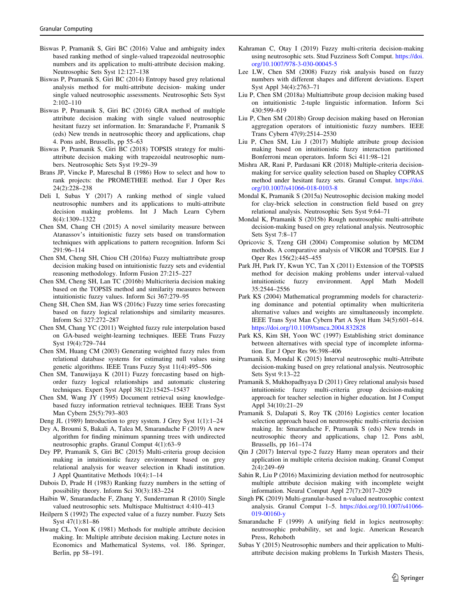- <span id="page-8-0"></span>Biswas P, Pramanik S, Giri BC (2016) Value and ambiguity index based ranking method of single-valued trapezoidal neutrosophic numbers and its application to multi-attribute decision making. Neutrosophic Sets Syst 12:127–138
- Biswas P, Pramanik S, Giri BC (2014) Entropy based grey relational analysis method for multi-attribute decision- making under single valued neutrosophic assessments. Neutrosophic Sets Syst 2:102–110
- Biswas P, Pramanik S, Giri BC (2016) GRA method of multiple attribute decision making with single valued neutrosophic hesitant fuzzy set information. In: Smarandache F, Pramanik S (eds) New trends in neutrosophic theory and applications, chap 4. Pons asbl, Brussells, pp 55–63
- Biswas P, Pramanik S, Giri BC (2018) TOPSIS strategy for multiattribute decision making with trapezoidal neutrosophic numbers. Neutrosophic Sets Syst 19:29–39
- Brans JP, Vincke P, Mareschal B (1986) How to select and how to rank projects: the PROMETHEE method. Eur J Oper Res 24(2):228–238
- Deli I, Subas Y (2017) A ranking method of single valued neutrosophic numbers and its applications to multi-attribute decision making problems. Int J Mach Learn Cybern 8(4):1309–1322
- Chen SM, Chang CH (2015) A novel similarity measure between Atanassov's intuitionistic fuzzy sets based on transformation techniques with applications to pattern recognition. Inform Sci 291:96–114
- Chen SM, Cheng SH, Chiou CH (2016a) Fuzzy multiattribute group decision making based on intuitionistic fuzzy sets and evidential reasoning methodology. Inform Fusion 27:215–227
- Chen SM, Cheng SH, Lan TC (2016b) Multicriteria decision making based on the TOPSIS method and similarity measures between intuitionistic fuzzy values. Inform Sci 367:279–95
- Cheng SH, Chen SM, Jian WS (2016c) Fuzzy time series forecasting based on fuzzy logical relationships and similarity measures. Inform Sci 327:272–287
- Chen SM, Chang YC (2011) Weighted fuzzy rule interpolation based on GA-based weight-learning techniques. IEEE Trans Fuzzy Syst 19(4):729–744
- Chen SM, Huang CM (2003) Generating weighted fuzzy rules from relational database systems for estimating null values using genetic algorithms. IEEE Trans Fuzzy Syst 11(4):495–506
- Chen SM, Tanuwijaya K (2011) Fuzzy forecasting based on highorder fuzzy logical relationships and automatic clustering techniques. Expert Syst Appl 38(12):15425–15437
- Chen SM, Wang JY (1995) Document retrieval using knowledgebased fuzzy information retrieval techniques. IEEE Trans Syst Man Cybern 25(5):793–803
- Deng JL (1989) Introduction to grey system. J Grey Syst 1(1):1–24
- Dey A, Broumi S, Bakali A, Talea M, Smarandache F (2019) A new algorithm for finding minimum spanning trees with undirected neutrosophic graphs. Granul Comput 4(1):63–9
- Dey PP, Pramanik S, Giri BC (2015) Multi-criteria group decision making in intuitionistic fuzzy environment based on grey relational analysis for weaver selection in Khadi institution. J Appl Quantitative Methods 10(4):1–14
- Dubois D, Prade H (1983) Ranking fuzzy numbers in the setting of possibility theory. Inform Sci 30(3):183–224
- Haibin W, Smarandache F, Zhang Y, Sunderraman R (2010) Single valued neutrosophic sets. Multispace Multistruct 4:410–413
- Heilpern S (1992) The expected value of a fuzzy number. Fuzzy Sets Syst 47(1):81–86
- Hwang CL, Yoon K (1981) Methods for multiple attribute decision making. In: Multiple attribute decision making. Lecture notes in Economics and Mathematical Systems, vol. 186. Springer, Berlin, pp 58–191.
- Kahraman C, Otay I (2019) Fuzzy multi-criteria decision-making using neutrosophic sets. Stud Fuzziness Soft Comput. [https://doi.](https://doi.org/10.1007/978-3-030-00045-5) [org/10.1007/978-3-030-00045-5](https://doi.org/10.1007/978-3-030-00045-5)
- Lee LW, Chen SM (2008) Fuzzy risk analysis based on fuzzy numbers with different shapes and different deviations. Expert Syst Appl 34(4):2763–71
- Liu P, Chen SM (2018a) Multiattribute group decision making based on intuitionistic 2-tuple linguistic information. Inform Sci 430:599–619
- Liu P, Chen SM (2018b) Group decision making based on Heronian aggregation operators of intuitionistic fuzzy numbers. IEEE Trans Cybern 47(9):2514–2530
- Liu P, Chen SM, Liu J (2017) Multiple attribute group decision making based on intuitionistic fuzzy interaction partitioned Bonferroni mean operators. Inform Sci 411:98–121
- Mishra AR, Rani P, Pardasani KR (2018) Multiple-criteria decisionmaking for service quality selection based on Shapley COPRAS method under hesitant fuzzy sets. Granul Comput. [https://doi.](https://doi.org/10.1007/s41066-018-0103-8) [org/10.1007/s41066-018-0103-8](https://doi.org/10.1007/s41066-018-0103-8)
- Mondal K, Pramanik S (2015a) Neutrosophic decision making model for clay-brick selection in construction field based on grey relational analysis. Neutrosophic Sets Syst 9:64–71
- Mondal K, Pramanik S (2015b) Rough neutrosophic multi-attribute decision-making based on grey relational analysis. Neutrosophic Sets Syst 7:8–17
- Opricovic S, Tzeng GH (2004) Compromise solution by MCDM methods. A comparative analysis of VIKOR and TOPSIS. Eur J Oper Res 156(2):445–455
- Park JH, Park IY, Kwun YC, Tan X (2011) Extension of the TOPSIS method for decision making problems under interval-valued intuitionistic fuzzy environment. Appl Math Modell 35:2544–2556
- Park KS (2004) Mathematical programming models for characterizing dominance and potential optimality when multicriteria alternative values and weights are simultaneously incomplete. IEEE Trans Syst Man Cybern Part A Syst Hum 34(5):601–614. <https://doi.org/10.1109/tsmca.2004.832828>
- Park KS, Kim SH, Yoon WC (1997) Establishing strict dominance between alternatives with special type of incomplete information. Eur J Oper Res 96:398–406
- Pramanik S, Mondal K (2015) Interval neutrosophic multi-Attribute decision-making based on grey relational analysis. Neutrosophic Sets Syst 9:13–22
- Pramanik S, Mukhopadhyaya D (2011) Grey relational analysis based intuitionistic fuzzy multi-criteria group decision-making approach for teacher selection in higher education. Int J Comput Appl 34(10):21–29
- Pramanik S, Dalapati S, Roy TK (2016) Logistics center location selection approach based on neutrosophic multi-criteria decision making. In: Smarandache F, Pramanik S (eds) New trends in neutrosophic theory and applications, chap 12. Pons asbl, Brussells, pp 161–174
- Qin J (2017) Interval type-2 fuzzy Hamy mean operators and their application in multiple criteria decision making. Granul Comput 2(4):249–69
- Sahin R, Liu P (2016) Maximizing deviation method for neutrosophic multiple attribute decision making with incomplete weight information. Neural Comput Appl 27(7):2017–2029
- Singh PK (2019) Multi-granular-based n-valued neutrosophic context analysis. Granul Comput 1–5. [https://doi.org/10.1007/s41066-](https://doi.org/10.1007/s41066-019-00160-y) [019-00160-y](https://doi.org/10.1007/s41066-019-00160-y)
- Smarandache F (1999) A unifying field in logics neutrosophy: neutrosophic probability, set and logic. American Research Press, Rehoboth
- Subas Y (2015) Neutrosophic numbers and their application to Multiattribute decision making problems In Turkish Masters Thesis,